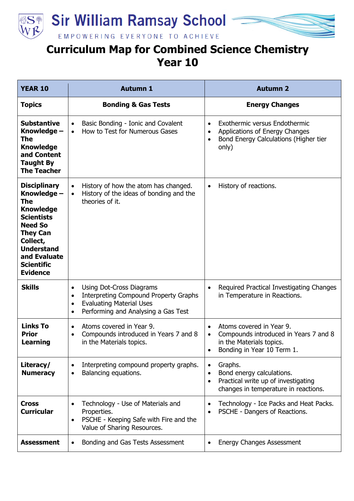

## **Curriculum Map for Combined Science Chemistry Year 10**

| <b>YEAR 10</b>                                                                                                                                                                                                   | <b>Autumn 1</b>                                                                                                                                                                                        | <b>Autumn 2</b>                                                                                                                                            |
|------------------------------------------------------------------------------------------------------------------------------------------------------------------------------------------------------------------|--------------------------------------------------------------------------------------------------------------------------------------------------------------------------------------------------------|------------------------------------------------------------------------------------------------------------------------------------------------------------|
| <b>Topics</b>                                                                                                                                                                                                    | <b>Bonding &amp; Gas Tests</b>                                                                                                                                                                         | <b>Energy Changes</b>                                                                                                                                      |
| <b>Substantive</b><br>Knowledge -<br>The<br><b>Knowledge</b><br>and Content<br><b>Taught By</b><br><b>The Teacher</b>                                                                                            | Basic Bonding - Ionic and Covalent<br>How to Test for Numerous Gases<br>$\bullet$                                                                                                                      | Exothermic versus Endothermic<br>$\bullet$<br>Applications of Energy Changes<br>$\bullet$<br>Bond Energy Calculations (Higher tier<br>$\bullet$<br>only)   |
| <b>Disciplinary</b><br>Knowledge -<br>The<br><b>Knowledge</b><br><b>Scientists</b><br><b>Need So</b><br><b>They Can</b><br>Collect,<br><b>Understand</b><br>and Evaluate<br><b>Scientific</b><br><b>Evidence</b> | History of how the atom has changed.<br>$\bullet$<br>History of the ideas of bonding and the<br>$\bullet$<br>theories of it.                                                                           | History of reactions.<br>$\bullet$                                                                                                                         |
| <b>Skills</b>                                                                                                                                                                                                    | Using Dot-Cross Diagrams<br>$\bullet$<br><b>Interpreting Compound Property Graphs</b><br>$\bullet$<br><b>Evaluating Material Uses</b><br>$\bullet$<br>Performing and Analysing a Gas Test<br>$\bullet$ | Required Practical Investigating Changes<br>in Temperature in Reactions.                                                                                   |
| <b>Links To</b><br><b>Prior</b><br><b>Learning</b>                                                                                                                                                               | Atoms covered in Year 9.<br>$\bullet$<br>Compounds introduced in Years 7 and 8<br>in the Materials topics.                                                                                             | Atoms covered in Year 9.<br>$\bullet$<br>Compounds introduced in Years 7 and 8<br>$\bullet$<br>in the Materials topics.<br>Bonding in Year 10 Term 1.      |
| Literacy/<br><b>Numeracy</b>                                                                                                                                                                                     | Interpreting compound property graphs.<br>$\bullet$<br>Balancing equations.<br>$\bullet$                                                                                                               | Graphs.<br>$\bullet$<br>Bond energy calculations.<br>$\bullet$<br>Practical write up of investigating<br>$\bullet$<br>changes in temperature in reactions. |
| <b>Cross</b><br><b>Curricular</b>                                                                                                                                                                                | Technology - Use of Materials and<br>$\bullet$<br>Properties.<br>PSCHE - Keeping Safe with Fire and the<br>$\bullet$<br>Value of Sharing Resources.                                                    | Technology - Ice Packs and Heat Packs.<br>$\bullet$<br>PSCHE - Dangers of Reactions.                                                                       |
| <b>Assessment</b>                                                                                                                                                                                                | Bonding and Gas Tests Assessment                                                                                                                                                                       | <b>Energy Changes Assessment</b><br>$\bullet$                                                                                                              |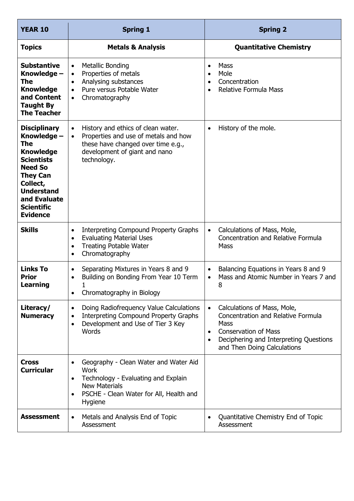| <b>YEAR 10</b>                                                                                                                                                                                                          | <b>Spring 1</b>                                                                                                                                                                                                  | <b>Spring 2</b>                                                                                                                                                                                                                 |
|-------------------------------------------------------------------------------------------------------------------------------------------------------------------------------------------------------------------------|------------------------------------------------------------------------------------------------------------------------------------------------------------------------------------------------------------------|---------------------------------------------------------------------------------------------------------------------------------------------------------------------------------------------------------------------------------|
| <b>Topics</b>                                                                                                                                                                                                           | <b>Metals &amp; Analysis</b>                                                                                                                                                                                     | <b>Quantitative Chemistry</b>                                                                                                                                                                                                   |
| <b>Substantive</b><br>Knowledge -<br><b>The</b><br><b>Knowledge</b><br>and Content<br><b>Taught By</b><br><b>The Teacher</b>                                                                                            | <b>Metallic Bonding</b><br>$\bullet$<br>Properties of metals<br>$\bullet$<br>Analysing substances<br>$\bullet$<br>Pure versus Potable Water<br>$\bullet$<br>Chromatography<br>$\bullet$                          | Mass<br>$\bullet$<br>Mole<br>$\bullet$<br>Concentration<br>$\bullet$<br><b>Relative Formula Mass</b><br>$\bullet$                                                                                                               |
| <b>Disciplinary</b><br>Knowledge -<br><b>The</b><br><b>Knowledge</b><br><b>Scientists</b><br><b>Need So</b><br><b>They Can</b><br>Collect,<br><b>Understand</b><br>and Evaluate<br><b>Scientific</b><br><b>Evidence</b> | History and ethics of clean water.<br>$\bullet$<br>Properties and use of metals and how<br>$\bullet$<br>these have changed over time e.g.,<br>development of giant and nano<br>technology.                       | History of the mole.<br>$\bullet$                                                                                                                                                                                               |
| <b>Skills</b>                                                                                                                                                                                                           | Interpreting Compound Property Graphs<br>$\bullet$<br><b>Evaluating Material Uses</b><br>$\bullet$<br><b>Treating Potable Water</b><br>$\bullet$<br>Chromatography<br>$\bullet$                                  | Calculations of Mass, Mole,<br>$\bullet$<br><b>Concentration and Relative Formula</b><br>Mass                                                                                                                                   |
| <b>Links To</b><br><b>Prior</b><br><b>Learning</b>                                                                                                                                                                      | Separating Mixtures in Years 8 and 9<br>$\bullet$<br>Building on Bonding From Year 10 Term<br>$\bullet$<br>1<br>Chromatography in Biology<br>$\bullet$                                                           | Balancing Equations in Years 8 and 9<br>$\bullet$<br>Mass and Atomic Number in Years 7 and<br>$\bullet$<br>8                                                                                                                    |
| Literacy/<br><b>Numeracy</b>                                                                                                                                                                                            | Doing Radiofrequency Value Calculations<br>$\bullet$<br><b>Interpreting Compound Property Graphs</b><br>$\bullet$<br>Development and Use of Tier 3 Key<br>$\bullet$<br>Words                                     | Calculations of Mass, Mole,<br>$\bullet$<br><b>Concentration and Relative Formula</b><br>Mass<br><b>Conservation of Mass</b><br>$\bullet$<br>Deciphering and Interpreting Questions<br>$\bullet$<br>and Then Doing Calculations |
| <b>Cross</b><br><b>Curricular</b>                                                                                                                                                                                       | Geography - Clean Water and Water Aid<br>$\bullet$<br><b>Work</b><br>Technology - Evaluating and Explain<br>$\bullet$<br><b>New Materials</b><br>PSCHE - Clean Water for All, Health and<br>$\bullet$<br>Hygiene |                                                                                                                                                                                                                                 |
| <b>Assessment</b>                                                                                                                                                                                                       | Metals and Analysis End of Topic<br>$\bullet$<br>Assessment                                                                                                                                                      | Quantitative Chemistry End of Topic<br>$\bullet$<br>Assessment                                                                                                                                                                  |